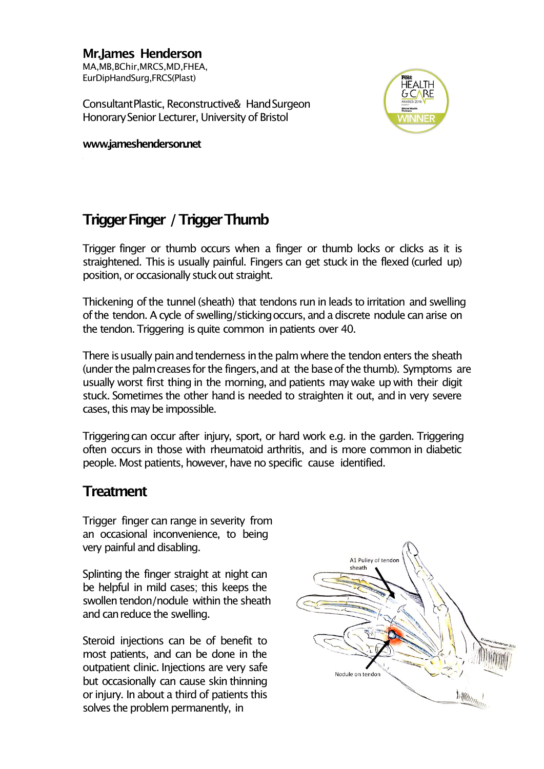**Mr.James Henderson** MA,MB,BChir,MRCS,MD,FHEA, EurDipHandSurg,FRCS(Plast)

ConsultantPlastic, Reconstructive& HandSurgeon Honorary Senior Lecturer, University of Bristol

**www.jameshenderson.net**



## **Trigger Finger** / Trigger Thumb

Trigger finger or thumb occurs when a finger or thumb locks or clicks as it is straightened. This is usually painful. Fingers can get stuck in the flexed (curled up) position, or occasionally stuck out straight.

Thickening ofthe tunnel (sheath) that tendons run in leads to irritation and swelling of the tendon. A cycle of swelling/sticking occurs, and a discrete nodule can arise on the tendon. Triggering is quite common in patients over 40.

There is usually pain and tenderness in the palm where the tendon enters the sheath (under the palm creases for the fingers, and at the base of the thumb). Symptoms are usually worst first thing in the morning, and patients may wake up with their digit stuck. Sometimes the other hand is needed to straighten it out, and in very severe cases, this may be impossible.

Triggering can occur after injury, sport, or hard work e.g. in the garden. Triggering often occurs in those with rheumatoid arthritis, and is more common in diabetic people. Most patients, however, have no specific cause identified.

## **Treatment**

Trigger finger can range in severity from an occasional inconvenience, to being very painful and disabling.

Splinting the finger straight at night can be helpful in mild cases; this keeps the swollen tendon/nodule within the sheath and can reduce the swelling.

Steroid injections can be of benefit to most patients, and can be done in the outpatient clinic. Injections are very safe but occasionally can cause skin thinning or injury. In about a third of patients this solves the problem permanently, in